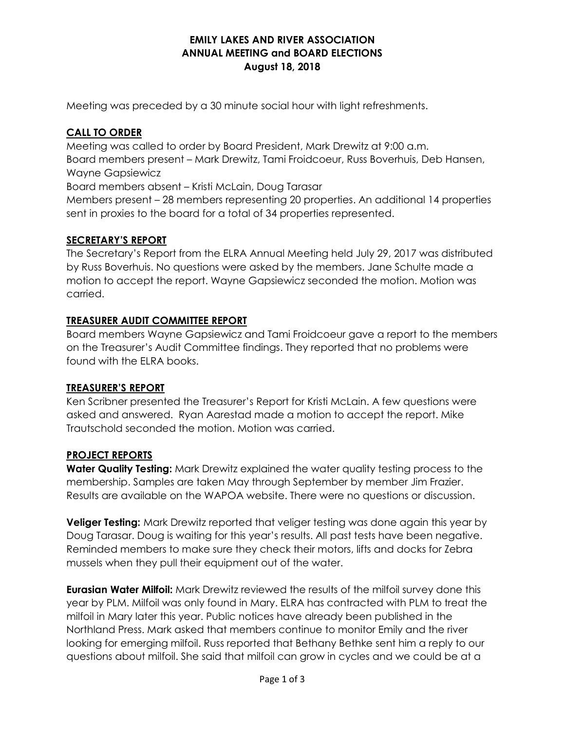#### EMILY LAKES AND RIVER ASSOCIATION ANNUAL MEETING and BOARD ELECTIONS August 18, 2018

Meeting was preceded by a 30 minute social hour with light refreshments.

## CALL TO ORDER

Meeting was called to order by Board President, Mark Drewitz at 9:00 a.m. Board members present – Mark Drewitz, Tami Froidcoeur, Russ Boverhuis, Deb Hansen, Wayne Gapsiewicz

Board members absent – Kristi McLain, Doug Tarasar

Members present – 28 members representing 20 properties. An additional 14 properties sent in proxies to the board for a total of 34 properties represented.

# SECRETARY'S REPORT

The Secretary's Report from the ELRA Annual Meeting held July 29, 2017 was distributed by Russ Boverhuis. No questions were asked by the members. Jane Schulte made a motion to accept the report. Wayne Gapsiewicz seconded the motion. Motion was carried.

### TREASURER AUDIT COMMITTEE REPORT

Board members Wayne Gapsiewicz and Tami Froidcoeur gave a report to the members on the Treasurer's Audit Committee findings. They reported that no problems were found with the ELRA books.

### TREASURER'S REPORT

Ken Scribner presented the Treasurer's Report for Kristi McLain. A few questions were asked and answered. Ryan Aarestad made a motion to accept the report. Mike Trautschold seconded the motion. Motion was carried.

# PROJECT REPORTS

Water Quality Testing: Mark Drewitz explained the water quality testing process to the membership. Samples are taken May through September by member Jim Frazier. Results are available on the WAPOA website. There were no questions or discussion.

Veliger Testing: Mark Drewitz reported that veliger testing was done again this year by Doug Tarasar. Doug is waiting for this year's results. All past tests have been negative. Reminded members to make sure they check their motors, lifts and docks for Zebra mussels when they pull their equipment out of the water.

**Eurasian Water Milfoil:** Mark Drewitz reviewed the results of the milfoil survey done this year by PLM. Milfoil was only found in Mary. ELRA has contracted with PLM to treat the milfoil in Mary later this year. Public notices have already been published in the Northland Press. Mark asked that members continue to monitor Emily and the river looking for emerging milfoil. Russ reported that Bethany Bethke sent him a reply to our questions about milfoil. She said that milfoil can grow in cycles and we could be at a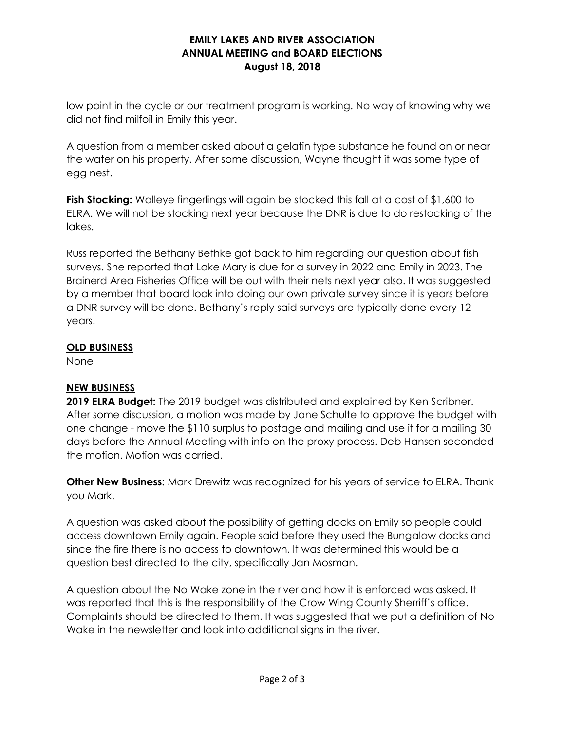### EMILY LAKES AND RIVER ASSOCIATION ANNUAL MEETING and BOARD ELECTIONS August 18, 2018

low point in the cycle or our treatment program is working. No way of knowing why we did not find milfoil in Emily this year.

A question from a member asked about a gelatin type substance he found on or near the water on his property. After some discussion, Wayne thought it was some type of egg nest.

**Fish Stocking:** Walleye fingerlings will again be stocked this fall at a cost of \$1,600 to ELRA. We will not be stocking next year because the DNR is due to do restocking of the lakes.

Russ reported the Bethany Bethke got back to him regarding our question about fish surveys. She reported that Lake Mary is due for a survey in 2022 and Emily in 2023. The Brainerd Area Fisheries Office will be out with their nets next year also. It was suggested by a member that board look into doing our own private survey since it is years before a DNR survey will be done. Bethany's reply said surveys are typically done every 12 years.

### OLD BUSINESS

None

# NEW BUSINESS

**2019 ELRA Budget:** The 2019 budget was distributed and explained by Ken Scribner. After some discussion, a motion was made by Jane Schulte to approve the budget with one change - move the \$110 surplus to postage and mailing and use it for a mailing 30 days before the Annual Meeting with info on the proxy process. Deb Hansen seconded the motion. Motion was carried.

**Other New Business:** Mark Drewitz was recognized for his years of service to ELRA. Thank you Mark.

A question was asked about the possibility of getting docks on Emily so people could access downtown Emily again. People said before they used the Bungalow docks and since the fire there is no access to downtown. It was determined this would be a question best directed to the city, specifically Jan Mosman.

A question about the No Wake zone in the river and how it is enforced was asked. It was reported that this is the responsibility of the Crow Wing County Sherriff's office. Complaints should be directed to them. It was suggested that we put a definition of No Wake in the newsletter and look into additional signs in the river.